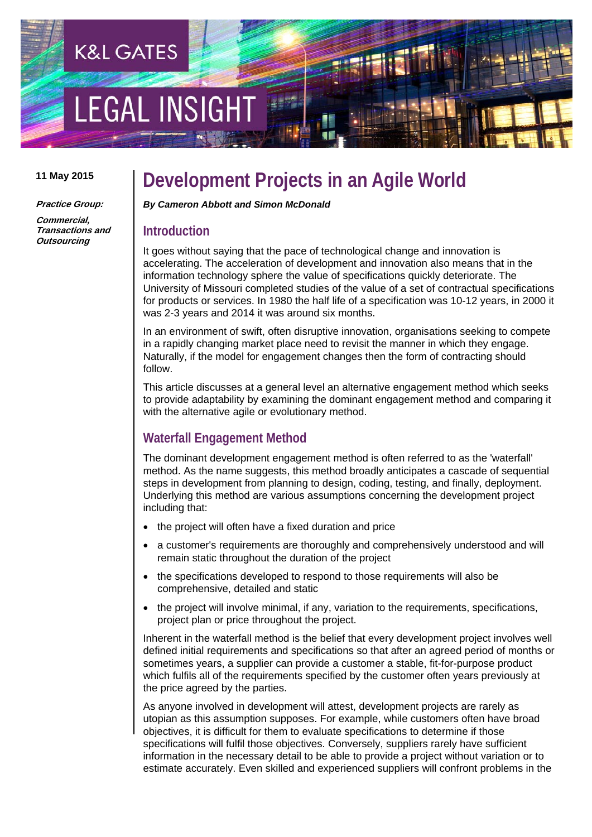# **LEGAL INSIGH**

**K&L GATES** 

#### **11 May 2015**

**Practice Group:** 

**Commercial, Transactions and Outsourcing** 

### **Development Projects in an Agile World**

*By Cameron Abbott and Simon McDonald* 

#### **Introduction**

It goes without saying that the pace of technological change and innovation is accelerating. The acceleration of development and innovation also means that in the information technology sphere the value of specifications quickly deteriorate. The University of Missouri completed studies of the value of a set of contractual specifications for products or services. In 1980 the half life of a specification was 10-12 years, in 2000 it was 2-3 years and 2014 it was around six months.

In an environment of swift, often disruptive innovation, organisations seeking to compete in a rapidly changing market place need to revisit the manner in which they engage. Naturally, if the model for engagement changes then the form of contracting should follow.

This article discusses at a general level an alternative engagement method which seeks to provide adaptability by examining the dominant engagement method and comparing it with the alternative agile or evolutionary method.

#### **Waterfall Engagement Method**

The dominant development engagement method is often referred to as the 'waterfall' method. As the name suggests, this method broadly anticipates a cascade of sequential steps in development from planning to design, coding, testing, and finally, deployment. Underlying this method are various assumptions concerning the development project including that:

- the project will often have a fixed duration and price
- a customer's requirements are thoroughly and comprehensively understood and will remain static throughout the duration of the project
- the specifications developed to respond to those requirements will also be comprehensive, detailed and static
- the project will involve minimal, if any, variation to the requirements, specifications, project plan or price throughout the project.

Inherent in the waterfall method is the belief that every development project involves well defined initial requirements and specifications so that after an agreed period of months or sometimes years, a supplier can provide a customer a stable, fit-for-purpose product which fulfils all of the requirements specified by the customer often years previously at the price agreed by the parties.

As anyone involved in development will attest, development projects are rarely as utopian as this assumption supposes. For example, while customers often have broad objectives, it is difficult for them to evaluate specifications to determine if those specifications will fulfil those objectives. Conversely, suppliers rarely have sufficient information in the necessary detail to be able to provide a project without variation or to estimate accurately. Even skilled and experienced suppliers will confront problems in the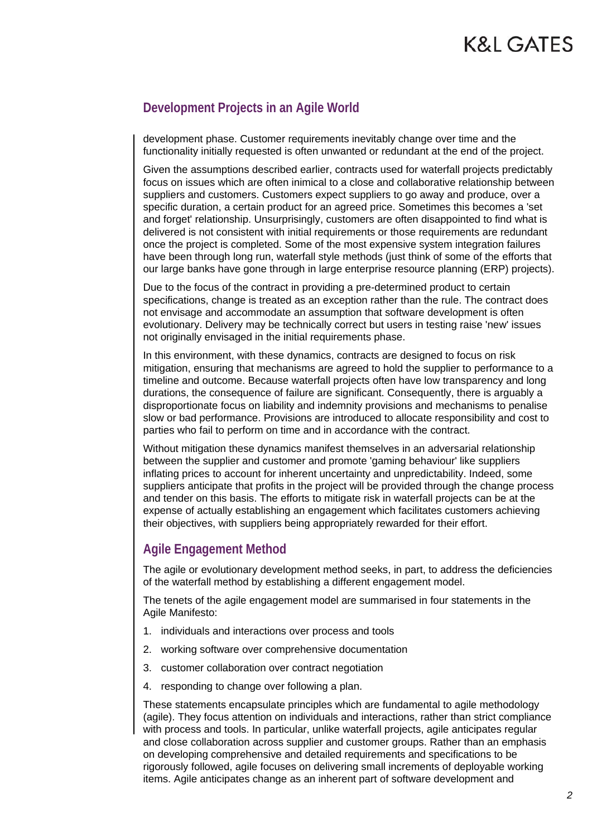## K&L GATES

#### **Development Projects in an Agile World**

development phase. Customer requirements inevitably change over time and the functionality initially requested is often unwanted or redundant at the end of the project.

Given the assumptions described earlier, contracts used for waterfall projects predictably focus on issues which are often inimical to a close and collaborative relationship between suppliers and customers. Customers expect suppliers to go away and produce, over a specific duration, a certain product for an agreed price. Sometimes this becomes a 'set and forget' relationship. Unsurprisingly, customers are often disappointed to find what is delivered is not consistent with initial requirements or those requirements are redundant once the project is completed. Some of the most expensive system integration failures have been through long run, waterfall style methods (just think of some of the efforts that our large banks have gone through in large enterprise resource planning (ERP) projects).

Due to the focus of the contract in providing a pre-determined product to certain specifications, change is treated as an exception rather than the rule. The contract does not envisage and accommodate an assumption that software development is often evolutionary. Delivery may be technically correct but users in testing raise 'new' issues not originally envisaged in the initial requirements phase.

In this environment, with these dynamics, contracts are designed to focus on risk mitigation, ensuring that mechanisms are agreed to hold the supplier to performance to a timeline and outcome. Because waterfall projects often have low transparency and long durations, the consequence of failure are significant. Consequently, there is arguably a disproportionate focus on liability and indemnity provisions and mechanisms to penalise slow or bad performance. Provisions are introduced to allocate responsibility and cost to parties who fail to perform on time and in accordance with the contract.

Without mitigation these dynamics manifest themselves in an adversarial relationship between the supplier and customer and promote 'gaming behaviour' like suppliers inflating prices to account for inherent uncertainty and unpredictability. Indeed, some suppliers anticipate that profits in the project will be provided through the change process and tender on this basis. The efforts to mitigate risk in waterfall projects can be at the expense of actually establishing an engagement which facilitates customers achieving their objectives, with suppliers being appropriately rewarded for their effort.

#### **Agile Engagement Method**

The agile or evolutionary development method seeks, in part, to address the deficiencies of the waterfall method by establishing a different engagement model.

The tenets of the agile engagement model are summarised in four statements in the Agile Manifesto:

- 1. individuals and interactions over process and tools
- 2. working software over comprehensive documentation
- 3. customer collaboration over contract negotiation
- 4. responding to change over following a plan.

These statements encapsulate principles which are fundamental to agile methodology (agile). They focus attention on individuals and interactions, rather than strict compliance with process and tools. In particular, unlike waterfall projects, agile anticipates regular and close collaboration across supplier and customer groups. Rather than an emphasis on developing comprehensive and detailed requirements and specifications to be rigorously followed, agile focuses on delivering small increments of deployable working items. Agile anticipates change as an inherent part of software development and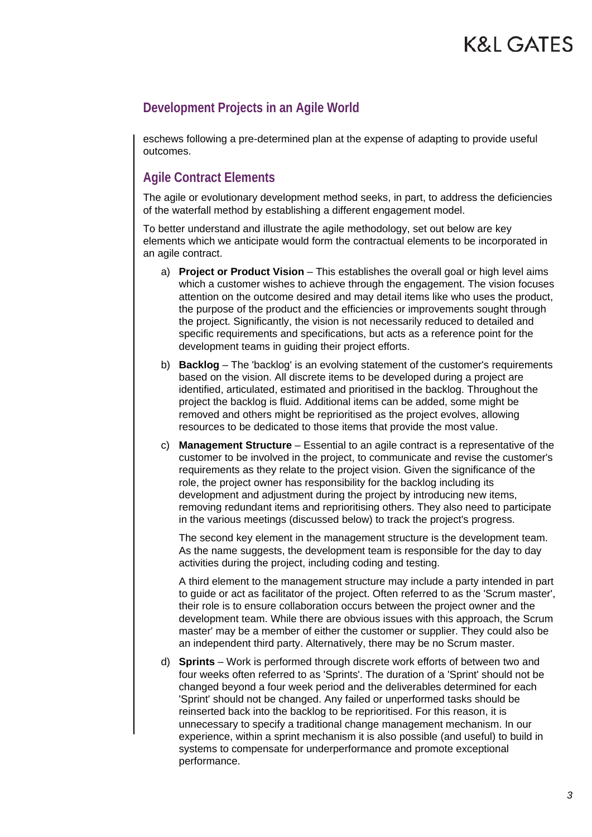eschews following a pre-determined plan at the expense of adapting to provide useful outcomes.

#### **Agile Contract Elements**

The agile or evolutionary development method seeks, in part, to address the deficiencies of the waterfall method by establishing a different engagement model.

To better understand and illustrate the agile methodology, set out below are key elements which we anticipate would form the contractual elements to be incorporated in an agile contract.

- a) **Project or Product Vision** This establishes the overall goal or high level aims which a customer wishes to achieve through the engagement. The vision focuses attention on the outcome desired and may detail items like who uses the product, the purpose of the product and the efficiencies or improvements sought through the project. Significantly, the vision is not necessarily reduced to detailed and specific requirements and specifications, but acts as a reference point for the development teams in guiding their project efforts.
- b) **Backlog** The 'backlog' is an evolving statement of the customer's requirements based on the vision. All discrete items to be developed during a project are identified, articulated, estimated and prioritised in the backlog. Throughout the project the backlog is fluid. Additional items can be added, some might be removed and others might be reprioritised as the project evolves, allowing resources to be dedicated to those items that provide the most value.
- c) **Management Structure** Essential to an agile contract is a representative of the customer to be involved in the project, to communicate and revise the customer's requirements as they relate to the project vision. Given the significance of the role, the project owner has responsibility for the backlog including its development and adjustment during the project by introducing new items, removing redundant items and reprioritising others. They also need to participate in the various meetings (discussed below) to track the project's progress.

The second key element in the management structure is the development team. As the name suggests, the development team is responsible for the day to day activities during the project, including coding and testing.

A third element to the management structure may include a party intended in part to guide or act as facilitator of the project. Often referred to as the 'Scrum master', their role is to ensure collaboration occurs between the project owner and the development team. While there are obvious issues with this approach, the Scrum master' may be a member of either the customer or supplier. They could also be an independent third party. Alternatively, there may be no Scrum master.

d) **Sprints** – Work is performed through discrete work efforts of between two and four weeks often referred to as 'Sprints'. The duration of a 'Sprint' should not be changed beyond a four week period and the deliverables determined for each 'Sprint' should not be changed. Any failed or unperformed tasks should be reinserted back into the backlog to be reprioritised. For this reason, it is unnecessary to specify a traditional change management mechanism. In our experience, within a sprint mechanism it is also possible (and useful) to build in systems to compensate for underperformance and promote exceptional performance.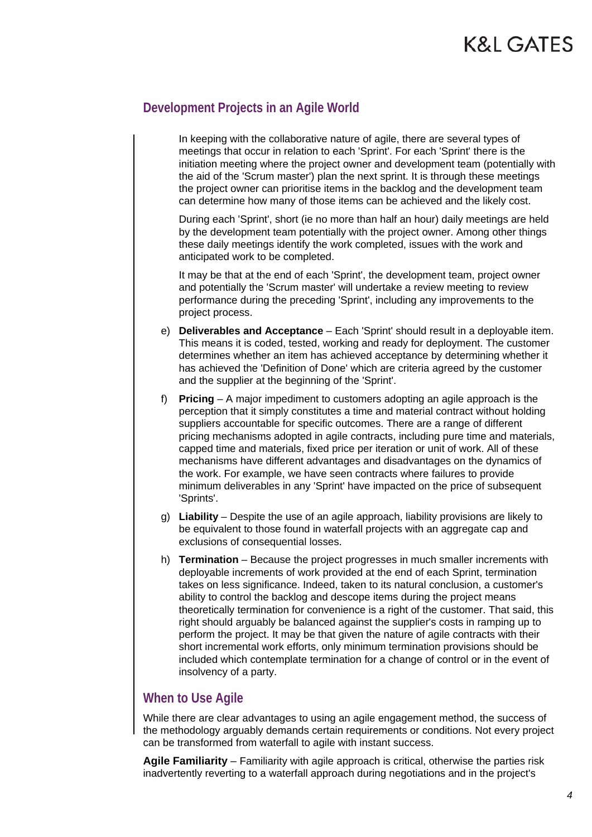In keeping with the collaborative nature of agile, there are several types of meetings that occur in relation to each 'Sprint'. For each 'Sprint' there is the initiation meeting where the project owner and development team (potentially with the aid of the 'Scrum master') plan the next sprint. It is through these meetings the project owner can prioritise items in the backlog and the development team can determine how many of those items can be achieved and the likely cost.

During each 'Sprint', short (ie no more than half an hour) daily meetings are held by the development team potentially with the project owner. Among other things these daily meetings identify the work completed, issues with the work and anticipated work to be completed.

It may be that at the end of each 'Sprint', the development team, project owner and potentially the 'Scrum master' will undertake a review meeting to review performance during the preceding 'Sprint', including any improvements to the project process.

- e) **Deliverables and Acceptance** Each 'Sprint' should result in a deployable item. This means it is coded, tested, working and ready for deployment. The customer determines whether an item has achieved acceptance by determining whether it has achieved the 'Definition of Done' which are criteria agreed by the customer and the supplier at the beginning of the 'Sprint'.
- f) **Pricing** A major impediment to customers adopting an agile approach is the perception that it simply constitutes a time and material contract without holding suppliers accountable for specific outcomes. There are a range of different pricing mechanisms adopted in agile contracts, including pure time and materials, capped time and materials, fixed price per iteration or unit of work. All of these mechanisms have different advantages and disadvantages on the dynamics of the work. For example, we have seen contracts where failures to provide minimum deliverables in any 'Sprint' have impacted on the price of subsequent 'Sprints'.
- g) **Liability** Despite the use of an agile approach, liability provisions are likely to be equivalent to those found in waterfall projects with an aggregate cap and exclusions of consequential losses.
- h) **Termination** Because the project progresses in much smaller increments with deployable increments of work provided at the end of each Sprint, termination takes on less significance. Indeed, taken to its natural conclusion, a customer's ability to control the backlog and descope items during the project means theoretically termination for convenience is a right of the customer. That said, this right should arguably be balanced against the supplier's costs in ramping up to perform the project. It may be that given the nature of agile contracts with their short incremental work efforts, only minimum termination provisions should be included which contemplate termination for a change of control or in the event of insolvency of a party.

#### **When to Use Agile**

While there are clear advantages to using an agile engagement method, the success of the methodology arguably demands certain requirements or conditions. Not every project can be transformed from waterfall to agile with instant success.

**Agile Familiarity** – Familiarity with agile approach is critical, otherwise the parties risk inadvertently reverting to a waterfall approach during negotiations and in the project's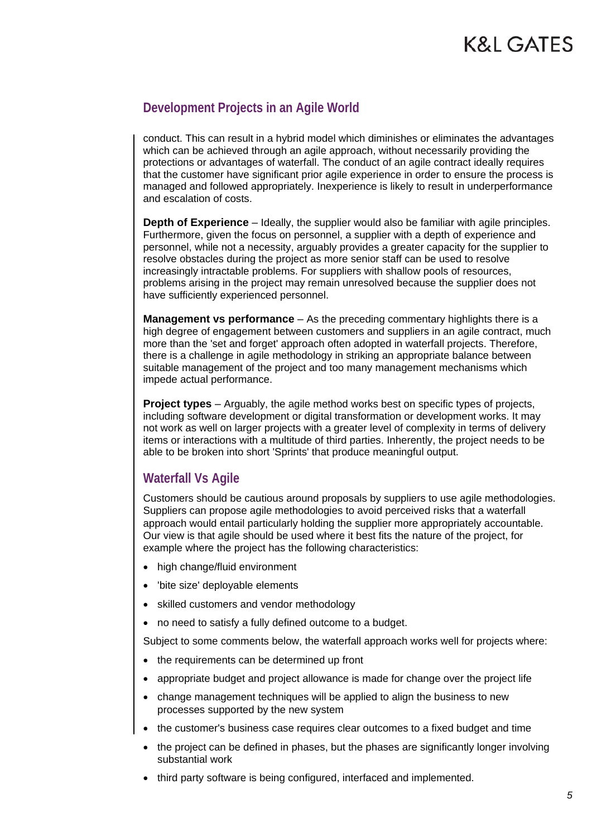conduct. This can result in a hybrid model which diminishes or eliminates the advantages which can be achieved through an agile approach, without necessarily providing the protections or advantages of waterfall. The conduct of an agile contract ideally requires that the customer have significant prior agile experience in order to ensure the process is managed and followed appropriately. Inexperience is likely to result in underperformance and escalation of costs.

**Depth of Experience** – Ideally, the supplier would also be familiar with agile principles. Furthermore, given the focus on personnel, a supplier with a depth of experience and personnel, while not a necessity, arguably provides a greater capacity for the supplier to resolve obstacles during the project as more senior staff can be used to resolve increasingly intractable problems. For suppliers with shallow pools of resources, problems arising in the project may remain unresolved because the supplier does not have sufficiently experienced personnel.

**Management vs performance** – As the preceding commentary highlights there is a high degree of engagement between customers and suppliers in an agile contract, much more than the 'set and forget' approach often adopted in waterfall projects. Therefore, there is a challenge in agile methodology in striking an appropriate balance between suitable management of the project and too many management mechanisms which impede actual performance.

**Project types** – Arguably, the agile method works best on specific types of projects, including software development or digital transformation or development works. It may not work as well on larger projects with a greater level of complexity in terms of delivery items or interactions with a multitude of third parties. Inherently, the project needs to be able to be broken into short 'Sprints' that produce meaningful output.

#### **Waterfall Vs Agile**

Customers should be cautious around proposals by suppliers to use agile methodologies. Suppliers can propose agile methodologies to avoid perceived risks that a waterfall approach would entail particularly holding the supplier more appropriately accountable. Our view is that agile should be used where it best fits the nature of the project, for example where the project has the following characteristics:

- high change/fluid environment
- 'bite size' deployable elements
- skilled customers and vendor methodology
- no need to satisfy a fully defined outcome to a budget.

Subject to some comments below, the waterfall approach works well for projects where:

- the requirements can be determined up front
- appropriate budget and project allowance is made for change over the project life
- change management techniques will be applied to align the business to new processes supported by the new system
- the customer's business case requires clear outcomes to a fixed budget and time
- the project can be defined in phases, but the phases are significantly longer involving substantial work
- third party software is being configured, interfaced and implemented.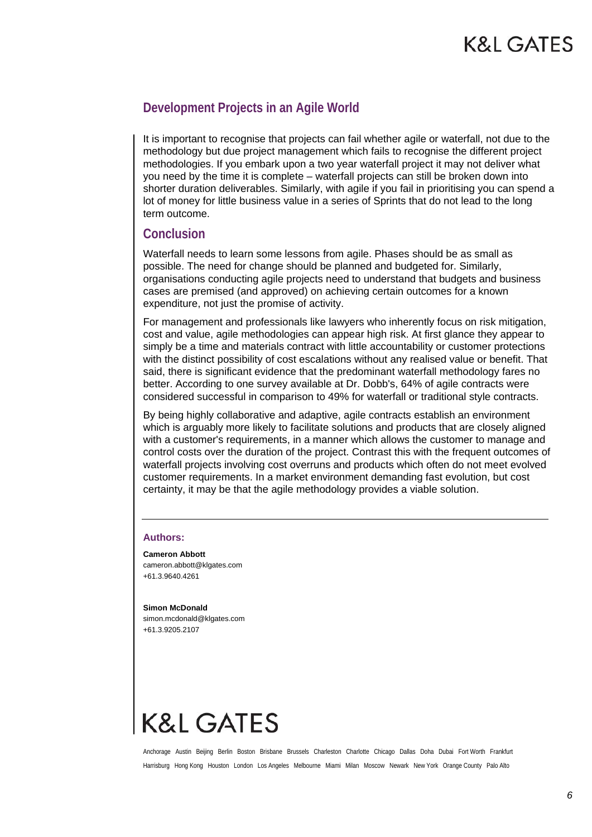It is important to recognise that projects can fail whether agile or waterfall, not due to the methodology but due project management which fails to recognise the different project methodologies. If you embark upon a two year waterfall project it may not deliver what you need by the time it is complete – waterfall projects can still be broken down into shorter duration deliverables. Similarly, with agile if you fail in prioritising you can spend a lot of money for little business value in a series of Sprints that do not lead to the long term outcome.

#### **Conclusion**

Waterfall needs to learn some lessons from agile. Phases should be as small as possible. The need for change should be planned and budgeted for. Similarly, organisations conducting agile projects need to understand that budgets and business cases are premised (and approved) on achieving certain outcomes for a known expenditure, not just the promise of activity.

For management and professionals like lawyers who inherently focus on risk mitigation, cost and value, agile methodologies can appear high risk. At first glance they appear to simply be a time and materials contract with little accountability or customer protections with the distinct possibility of cost escalations without any realised value or benefit. That said, there is significant evidence that the predominant waterfall methodology fares no better. According to one survey available at Dr. Dobb's, 64% of agile contracts were considered successful in comparison to 49% for waterfall or traditional style contracts.

By being highly collaborative and adaptive, agile contracts establish an environment which is arguably more likely to facilitate solutions and products that are closely aligned with a customer's requirements, in a manner which allows the customer to manage and control costs over the duration of the project. Contrast this with the frequent outcomes of waterfall projects involving cost overruns and products which often do not meet evolved customer requirements. In a market environment demanding fast evolution, but cost certainty, it may be that the agile methodology provides a viable solution.

#### **Authors:**

**Cameron Abbott**  cameron.abbott@klgates.com +61.3.9640.4261

**Simon McDonald**  simon.mcdonald@klgates.com +61.3.9205.2107

## **K&L GATES**

Anchorage Austin Beijing Berlin Boston Brisbane Brussels Charleston Charlotte Chicago Dallas Doha Dubai Fort Worth Frankfurt Harrisburg Hong Kong Houston London Los Angeles Melbourne Miami Milan Moscow Newark New York Orange County Palo Alto